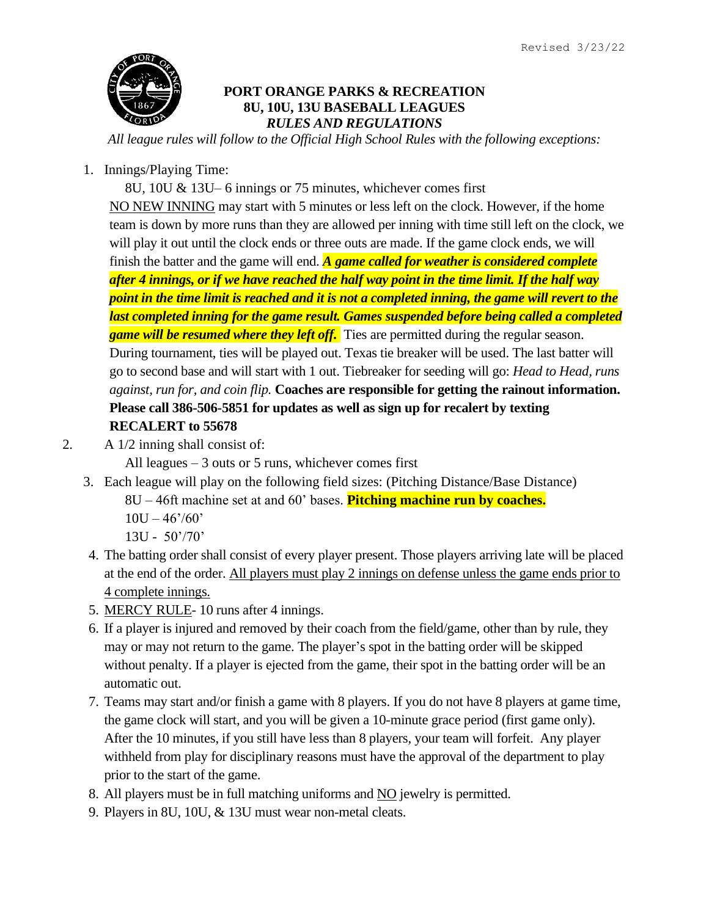

## **PORT ORANGE PARKS & RECREATION 8U, 10U, 13U BASEBALL LEAGUES** *RULES AND REGULATIONS*

*All league rules will follow to the Official High School Rules with the following exceptions:*

1. Innings/Playing Time:

8U, 10U & 13U– 6 innings or 75 minutes, whichever comes first NO NEW INNING may start with 5 minutes or less left on the clock. However, if the home team is down by more runs than they are allowed per inning with time still left on the clock, we will play it out until the clock ends or three outs are made. If the game clock ends, we will finish the batter and the game will end. *A game called for weather is considered complete after 4 innings, or if we have reached the half way point in the time limit. If the half way point in the time limit is reached and it is not a completed inning, the game will revert to the last completed inning for the game result. Games suspended before being called a completed game will be resumed where they left off.* Ties are permitted during the regular season. During tournament, ties will be played out. Texas tie breaker will be used. The last batter will go to second base and will start with 1 out. Tiebreaker for seeding will go: *Head to Head, runs against, run for, and coin flip.* **Coaches are responsible for getting the rainout information. Please call 386-506-5851 for updates as well as sign up for recalert by texting RECALERT to 55678**

2. A 1/2 inning shall consist of:

All leagues – 3 outs or 5 runs, whichever comes first

3. Each league will play on the following field sizes: (Pitching Distance/Base Distance)

8U – 46ft machine set at and 60' bases. **Pitching machine run by coaches.**

 $10U - 46'/60'$ 

13U - 50'/70'

- 4. The batting order shall consist of every player present. Those players arriving late will be placed at the end of the order. All players must play 2 innings on defense unless the game ends prior to 4 complete innings.
- 5. MERCY RULE- 10 runs after 4 innings.
- 6. If a player is injured and removed by their coach from the field/game, other than by rule, they may or may not return to the game. The player's spot in the batting order will be skipped without penalty. If a player is ejected from the game, their spot in the batting order will be an automatic out.
- 7. Teams may start and/or finish a game with 8 players. If you do not have 8 players at game time, the game clock will start, and you will be given a 10-minute grace period (first game only). After the 10 minutes, if you still have less than 8 players, your team will forfeit. Any player withheld from play for disciplinary reasons must have the approval of the department to play prior to the start of the game.
- 8. All players must be in full matching uniforms and NO jewelry is permitted.
- 9. Players in 8U, 10U, & 13U must wear non-metal cleats.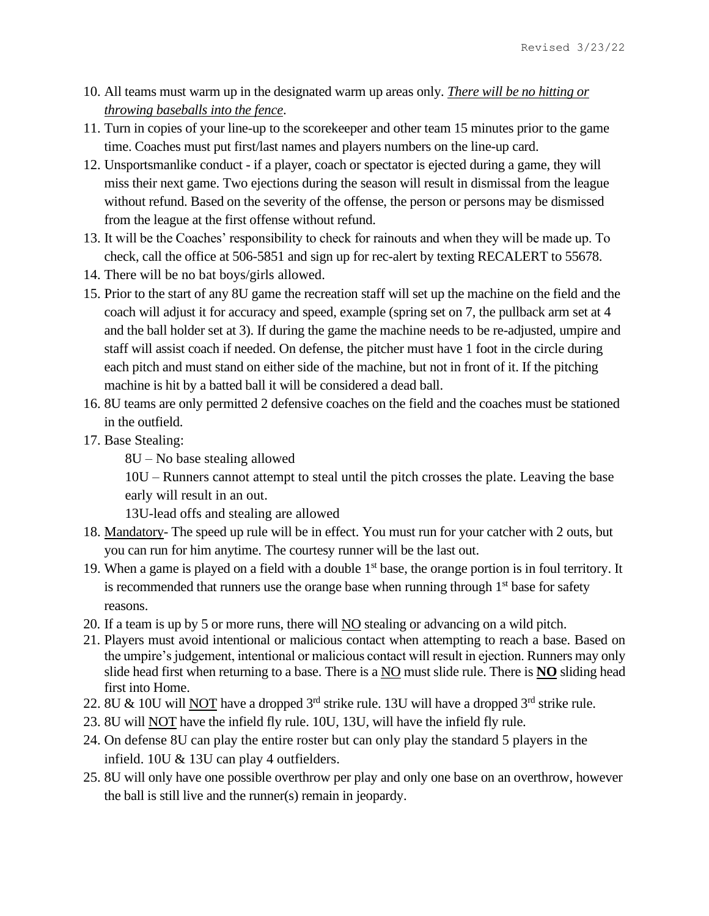- 10. All teams must warm up in the designated warm up areas only. *There will be no hitting or throwing baseballs into the fence*.
- 11. Turn in copies of your line-up to the scorekeeper and other team 15 minutes prior to the game time. Coaches must put first/last names and players numbers on the line-up card.
- 12. Unsportsmanlike conduct if a player, coach or spectator is ejected during a game, they will miss their next game. Two ejections during the season will result in dismissal from the league without refund. Based on the severity of the offense, the person or persons may be dismissed from the league at the first offense without refund.
- 13. It will be the Coaches' responsibility to check for rainouts and when they will be made up. To check, call the office at 506-5851 and sign up for rec-alert by texting RECALERT to 55678.
- 14. There will be no bat boys/girls allowed.
- 15. Prior to the start of any 8U game the recreation staff will set up the machine on the field and the coach will adjust it for accuracy and speed, example (spring set on 7, the pullback arm set at 4 and the ball holder set at 3). If during the game the machine needs to be re-adjusted, umpire and staff will assist coach if needed. On defense, the pitcher must have 1 foot in the circle during each pitch and must stand on either side of the machine, but not in front of it. If the pitching machine is hit by a batted ball it will be considered a dead ball.
- 16. 8U teams are only permitted 2 defensive coaches on the field and the coaches must be stationed in the outfield.
- 17. Base Stealing:

8U – No base stealing allowed

10U – Runners cannot attempt to steal until the pitch crosses the plate. Leaving the base early will result in an out.

13U-lead offs and stealing are allowed

- 18. Mandatory- The speed up rule will be in effect. You must run for your catcher with 2 outs, but you can run for him anytime. The courtesy runner will be the last out.
- 19. When a game is played on a field with a double  $1<sup>st</sup>$  base, the orange portion is in foul territory. It is recommended that runners use the orange base when running through  $1<sup>st</sup>$  base for safety reasons.
- 20. If a team is up by 5 or more runs, there will NO stealing or advancing on a wild pitch.
- 21. Players must avoid intentional or malicious contact when attempting to reach a base. Based on the umpire's judgement, intentional or malicious contact will result in ejection. Runners may only slide head first when returning to a base. There is a NO must slide rule. There is **NO** sliding head first into Home.
- 22. 8U & 10U will NOT have a dropped  $3<sup>rd</sup>$  strike rule. 13U will have a dropped  $3<sup>rd</sup>$  strike rule.
- 23. 8U will NOT have the infield fly rule. 10U, 13U, will have the infield fly rule.
- 24. On defense 8U can play the entire roster but can only play the standard 5 players in the infield. 10U & 13U can play 4 outfielders.
- 25. 8U will only have one possible overthrow per play and only one base on an overthrow, however the ball is still live and the runner(s) remain in jeopardy.